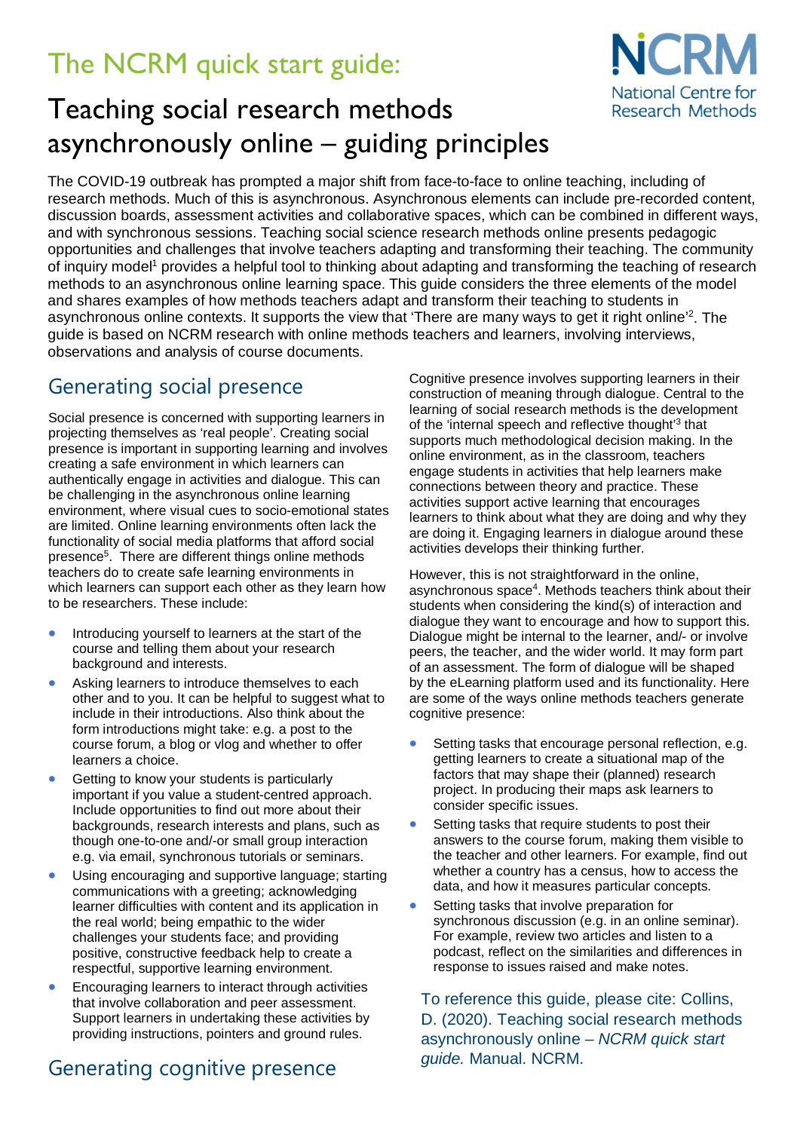# The NCRM quick start guide:



## Teaching social research methods asynchronously online – guiding principles

The COVID-19 outbreak has prompted a major shift from face-to-face to online teaching, including of research methods. Much of this is asynchronous. Asynchronous elements can include pre-recorded content, discussion boards, assessment activities and collaborative spaces, which can be combined in different ways, and with synchronous sessions. Teaching social science research methods online presents pedagogic opportunities and challenges that involve teachers adapting and transforming their teaching. The community of inquiry model<sup>1</sup> provides a helpful tool to thinking about adapting and transforming the teaching of research methods to an asynchronous online learning space. This guide considers the three elements of the model and shares examples of how methods teachers adapt and transform their teaching to students in asynchronous online contexts. It supports the view that 'There are many ways to get it right online'<sup>2</sup>. The guide is based on NCRM research with online methods teachers and learners, involving interviews, observations and analysis of course documents.

### Generating social presence

Social presence is concerned with supporting learners in projecting themselves as 'real people'. Creating social presence is important in supporting learning and involves creating a safe environment in which learners can authentically engage in activities and dialogue. This can be challenging in the asynchronous online learning environment, where visual cues to socio-emotional states are limited. Online learning environments often lack the functionality of social media platforms that afford social presence<sup>5</sup>. There are different things online methods teachers do to create safe learning environments in which learners can support each other as they learn how to be researchers. These include:

- Introducing yourself to learners at the start of the course and telling them about your research background and interests.
- Asking learners to introduce themselves to each other and to you. It can be helpful to suggest what to include in their introductions. Also think about the form introductions might take: e.g. a post to the course forum, a blog or vlog and whether to offer learners a choice.
- Getting to know your students is particularly important if you value a student-centred approach. Include opportunities to find out more about their backgrounds, research interests and plans, such as though one-to-one and/-or small group interaction e.g. via email, synchronous tutorials or seminars.
- Using encouraging and supportive language; starting communications with a greeting; acknowledging learner difficulties with content and its application in the real world; being empathic to the wider challenges your students face; and providing positive, constructive feedback help to create a respectful, supportive learning environment.
- Encouraging learners to interact through activities that involve collaboration and peer assessment. Support learners in undertaking these activities by providing instructions, pointers and ground rules.

## Generating cognitive presence

Cognitive presence involves supporting learners in their construction of meaning through dialogue. Central to the learning of social research methods is the development of the 'internal speech and reflective thought'3 that supports much methodological decision making. In the online environment, as in the classroom, teachers engage students in activities that help learners make connections between theory and practice. These activities support active learning that encourages learners to think about what they are doing and why they are doing it. Engaging learners in dialogue around these activities develops their thinking further.

However, this is not straightforward in the online, asynchronous space<sup>4</sup>. Methods teachers think about their students when considering the kind(s) of interaction and dialogue they want to encourage and how to support this. Dialogue might be internal to the learner, and/- or involve peers, the teacher, and the wider world. It may form part of an assessment. The form of dialogue will be shaped by the eLearning platform used and its functionality. Here are some of the ways online methods teachers generate cognitive presence:

- Setting tasks that encourage personal reflection, e.g. getting learners to create a situational map of the factors that may shape their (planned) research project. In producing their maps ask learners to consider specific issues.
- Setting tasks that require students to post their answers to the course forum, making them visible to the teacher and other learners. For example, find out whether a country has a census, how to access the data, and how it measures particular concepts.
- Setting tasks that involve preparation for synchronous discussion (e.g. in an online seminar). For example, review two articles and listen to a podcast, reflect on the similarities and differences in response to issues raised and make notes.

To reference this guide, please cite: Collins, D. (2020). Teaching social research methods asynchronously online – *NCRM quick start guide.* Manual. NCRM.